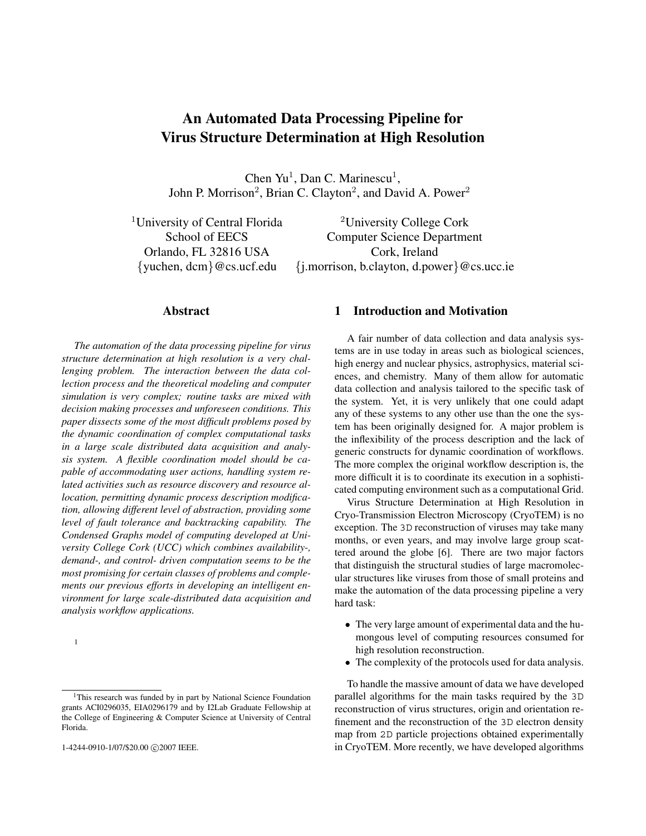# **An Automated Data Processing Pipeline for Virus Structure Determination at High Resolution**

Chen Yu<sup>1</sup>, Dan C. Marinescu<sup>1</sup>, John P. Morrison<sup>2</sup>, Brian C. Clayton<sup>2</sup>, and David A. Power<sup>2</sup>

<sup>1</sup>University of Central Florida  $\frac{2 \text{University} College \text{Cork}}{2 \text{University} College \text{Cork}}$ Orlando, FL 32816 USA Cork, Ireland

School of EECS Computer Science Department *{*yuchen, dcm*}*@cs.ucf.edu *{*j.morrison, b.clayton, d.power*}*@cs.ucc.ie

### **Abstract**

*The automation of the data processing pipeline for virus structure determination at high resolution is a very challenging problem. The interaction between the data collection process and the theoretical modeling and computer simulation is very complex; routine tasks are mixed with decision making processes and unforeseen conditions. This paper dissects some of the most difficult problems posed by the dynamic coordination of complex computational tasks in a large scale distributed data acquisition and analysis system. A flexible coordination model should be capable of accommodating user actions, handling system related activities such as resource discovery and resource allocation, permitting dynamic process description modification, allowing different level of abstraction, providing some level of fault tolerance and backtracking capability. The Condensed Graphs model of computing developed at University College Cork (UCC) which combines availability-, demand-, and control- driven computation seems to be the most promising for certain classes of problems and complements our previous efforts in developing an intelligent environment for large scale-distributed data acquisition and analysis workflow applications.*

1-4244-0910-1/07/\$20.00 © 2007 IEEE.

1

# **1 Introduction and Motivation**

A fair number of data collection and data analysis systems are in use today in areas such as biological sciences, high energy and nuclear physics, astrophysics, material sciences, and chemistry. Many of them allow for automatic data collection and analysis tailored to the specific task of the system. Yet, it is very unlikely that one could adapt any of these systems to any other use than the one the system has been originally designed for. A major problem is the inflexibility of the process description and the lack of generic constructs for dynamic coordination of workflows. The more complex the original workflow description is, the more difficult it is to coordinate its execution in a sophisticated computing environment such as a computational Grid.

Virus Structure Determination at High Resolution in Cryo-Transmission Electron Microscopy (CryoTEM) is no exception. The 3D reconstruction of viruses may take many months, or even years, and may involve large group scattered around the globe [6]. There are two major factors that distinguish the structural studies of large macromolecular structures like viruses from those of small proteins and make the automation of the data processing pipeline a very hard task:

- *•* The very large amount of experimental data and the humongous level of computing resources consumed for high resolution reconstruction.
- *•* The complexity of the protocols used for data analysis.

To handle the massive amount of data we have developed parallel algorithms for the main tasks required by the 3D reconstruction of virus structures, origin and orientation refinement and the reconstruction of the 3D electron density map from 2D particle projections obtained experimentally in CryoTEM. More recently, we have developed algorithms

<sup>&</sup>lt;sup>1</sup>This research was funded by in part by National Science Foundation grants ACI0296035, EIA0296179 and by I2Lab Graduate Fellowship at the College of Engineering & Computer Science at University of Central Florida.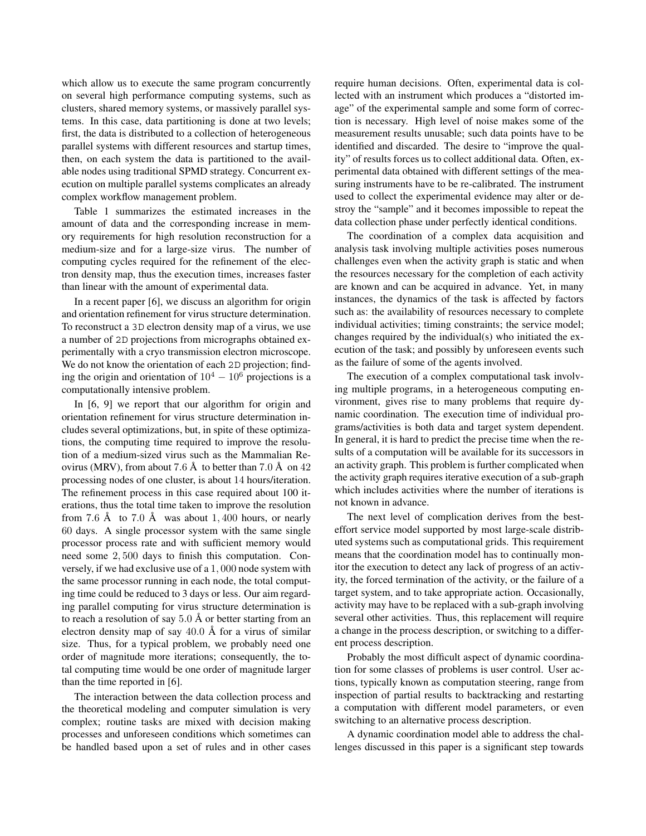which allow us to execute the same program concurrently on several high performance computing systems, such as clusters, shared memory systems, or massively parallel systems. In this case, data partitioning is done at two levels; first, the data is distributed to a collection of heterogeneous parallel systems with different resources and startup times, then, on each system the data is partitioned to the available nodes using traditional SPMD strategy. Concurrent execution on multiple parallel systems complicates an already complex workflow management problem.

Table 1 summarizes the estimated increases in the amount of data and the corresponding increase in memory requirements for high resolution reconstruction for a medium-size and for a large-size virus. The number of computing cycles required for the refinement of the electron density map, thus the execution times, increases faster than linear with the amount of experimental data.

In a recent paper [6], we discuss an algorithm for origin and orientation refinement for virus structure determination. To reconstruct a 3D electron density map of a virus, we use a number of 2D projections from micrographs obtained experimentally with a cryo transmission electron microscope. We do not know the orientation of each 2D projection; finding the origin and orientation of  $10^4 - 10^6$  projections is a computationally intensive problem.

In [6, 9] we report that our algorithm for origin and orientation refinement for virus structure determination includes several optimizations, but, in spite of these optimizations, the computing time required to improve the resolution of a medium-sized virus such as the Mammalian Reovirus (MRV), from about  $7.6 \text{ Å}$  to better than  $7.0 \text{ Å}$  on  $42$ processing nodes of one cluster, is about 14 hours/iteration. The refinement process in this case required about 100 iterations, thus the total time taken to improve the resolution from  $7.6$  Å to  $7.0$  Å was about  $1,400$  hours, or nearly 60 days. A single processor system with the same single processor process rate and with sufficient memory would need some 2*,* 500 days to finish this computation. Conversely, if we had exclusive use of a 1*,* 000 node system with the same processor running in each node, the total computing time could be reduced to 3 days or less. Our aim regarding parallel computing for virus structure determination is to reach a resolution of say  $5.0 \text{ Å}$  or better starting from an electron density map of say  $40.0 \text{ Å}$  for a virus of similar size. Thus, for a typical problem, we probably need one order of magnitude more iterations; consequently, the total computing time would be one order of magnitude larger than the time reported in [6].

The interaction between the data collection process and the theoretical modeling and computer simulation is very complex; routine tasks are mixed with decision making processes and unforeseen conditions which sometimes can be handled based upon a set of rules and in other cases

require human decisions. Often, experimental data is collected with an instrument which produces a "distorted image" of the experimental sample and some form of correction is necessary. High level of noise makes some of the measurement results unusable; such data points have to be identified and discarded. The desire to "improve the quality" of results forces us to collect additional data. Often, experimental data obtained with different settings of the measuring instruments have to be re-calibrated. The instrument used to collect the experimental evidence may alter or destroy the "sample" and it becomes impossible to repeat the data collection phase under perfectly identical conditions.

The coordination of a complex data acquisition and analysis task involving multiple activities poses numerous challenges even when the activity graph is static and when the resources necessary for the completion of each activity are known and can be acquired in advance. Yet, in many instances, the dynamics of the task is affected by factors such as: the availability of resources necessary to complete individual activities; timing constraints; the service model; changes required by the individual(s) who initiated the execution of the task; and possibly by unforeseen events such as the failure of some of the agents involved.

The execution of a complex computational task involving multiple programs, in a heterogeneous computing environment, gives rise to many problems that require dynamic coordination. The execution time of individual programs/activities is both data and target system dependent. In general, it is hard to predict the precise time when the results of a computation will be available for its successors in an activity graph. This problem is further complicated when the activity graph requires iterative execution of a sub-graph which includes activities where the number of iterations is not known in advance.

The next level of complication derives from the besteffort service model supported by most large-scale distributed systems such as computational grids. This requirement means that the coordination model has to continually monitor the execution to detect any lack of progress of an activity, the forced termination of the activity, or the failure of a target system, and to take appropriate action. Occasionally, activity may have to be replaced with a sub-graph involving several other activities. Thus, this replacement will require a change in the process description, or switching to a different process description.

Probably the most difficult aspect of dynamic coordination for some classes of problems is user control. User actions, typically known as computation steering, range from inspection of partial results to backtracking and restarting a computation with different model parameters, or even switching to an alternative process description.

A dynamic coordination model able to address the challenges discussed in this paper is a significant step towards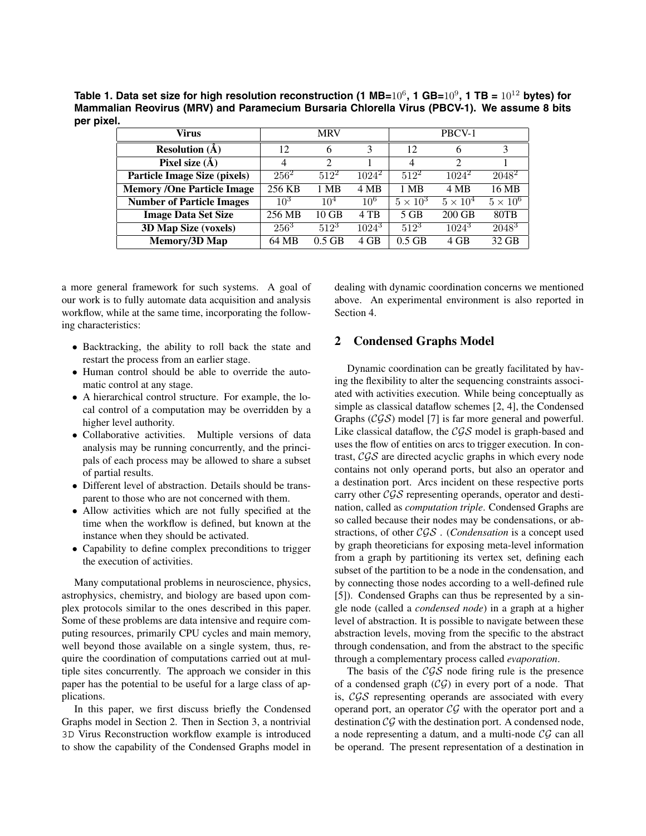**Table 1. Data set size for high resolution reconstruction (1 MB=**10<sup>6</sup>**, 1 GB=**10<sup>9</sup>**, 1 TB =** 10<sup>12</sup> **bytes) for Mammalian Reovirus (MRV) and Paramecium Bursaria Chlorella Virus (PBCV-1). We assume 8 bits per pixel.**

| Virus                               |          | <b>MRV</b>      |          |                 | PBCV-1          |                          |
|-------------------------------------|----------|-----------------|----------|-----------------|-----------------|--------------------------|
| <b>Resolution</b> $(\AA)$           | 12       | 6               | 3        | 12              | 6               | 3                        |
| Pixel size $(\AA)$                  | 4        | $\mathfrak{D}$  |          | 4               | 2               |                          |
| <b>Particle Image Size (pixels)</b> | $256^2$  | $512^2$         | $1024^2$ | $512^2$         | $1024^2$        | $2048^2$                 |
| <b>Memory /One Particle Image</b>   | 256 KB   | 1 MB            | 4 MB     | 1 MB            | 4 MB            | 16 MB                    |
| <b>Number of Particle Images</b>    | $10^{3}$ | 10 <sup>4</sup> | $10^{6}$ | $5 \times 10^3$ | $5 \times 10^4$ | $\overline{5\times10^6}$ |
| <b>Image Data Set Size</b>          | 256 MB   | $10$ GB         | 4 TB     | $5$ GB          | $200$ GB        | 80TB                     |
| 3D Map Size (voxels)                | $256^3$  | $512^3$         | $1024^3$ | $512^3$         | $1024^3$        | $2048^3$                 |
| Memory/3D Map                       | 64 MB    | $0.5$ GB        | $4$ GB   | $0.5$ GB        | 4 GB            | 32 GB                    |

a more general framework for such systems. A goal of our work is to fully automate data acquisition and analysis workflow, while at the same time, incorporating the following characteristics:

- *•* Backtracking, the ability to roll back the state and restart the process from an earlier stage.
- *•* Human control should be able to override the automatic control at any stage.
- *•* A hierarchical control structure. For example, the local control of a computation may be overridden by a higher level authority.
- *•* Collaborative activities. Multiple versions of data analysis may be running concurrently, and the principals of each process may be allowed to share a subset of partial results.
- Different level of abstraction. Details should be transparent to those who are not concerned with them.
- *•* Allow activities which are not fully specified at the time when the workflow is defined, but known at the instance when they should be activated.
- Capability to define complex preconditions to trigger the execution of activities.

Many computational problems in neuroscience, physics, astrophysics, chemistry, and biology are based upon complex protocols similar to the ones described in this paper. Some of these problems are data intensive and require computing resources, primarily CPU cycles and main memory, well beyond those available on a single system, thus, require the coordination of computations carried out at multiple sites concurrently. The approach we consider in this paper has the potential to be useful for a large class of applications.

In this paper, we first discuss briefly the Condensed Graphs model in Section 2. Then in Section 3, a nontrivial 3D Virus Reconstruction workflow example is introduced to show the capability of the Condensed Graphs model in dealing with dynamic coordination concerns we mentioned above. An experimental environment is also reported in Section 4.

## **2 Condensed Graphs Model**

Dynamic coordination can be greatly facilitated by having the flexibility to alter the sequencing constraints associated with activities execution. While being conceptually as simple as classical dataflow schemes [2, 4], the Condensed Graphs (*CGS*) model [7] is far more general and powerful. Like classical dataflow, the *CGS* model is graph-based and uses the flow of entities on arcs to trigger execution. In contrast, *CGS* are directed acyclic graphs in which every node contains not only operand ports, but also an operator and a destination port. Arcs incident on these respective ports carry other *CGS* representing operands, operator and destination, called as *computation triple*. Condensed Graphs are so called because their nodes may be condensations, or abstractions, of other *CGS* . (*Condensation* is a concept used by graph theoreticians for exposing meta-level information from a graph by partitioning its vertex set, defining each subset of the partition to be a node in the condensation, and by connecting those nodes according to a well-defined rule [5]). Condensed Graphs can thus be represented by a single node (called a *condensed node*) in a graph at a higher level of abstraction. It is possible to navigate between these abstraction levels, moving from the specific to the abstract through condensation, and from the abstract to the specific through a complementary process called *evaporation*.

The basis of the *CGS* node firing rule is the presence of a condensed graph (*CG*) in every port of a node. That is, *CGS* representing operands are associated with every operand port, an operator *CG* with the operator port and a destination *CG* with the destination port. A condensed node, a node representing a datum, and a multi-node *CG* can all be operand. The present representation of a destination in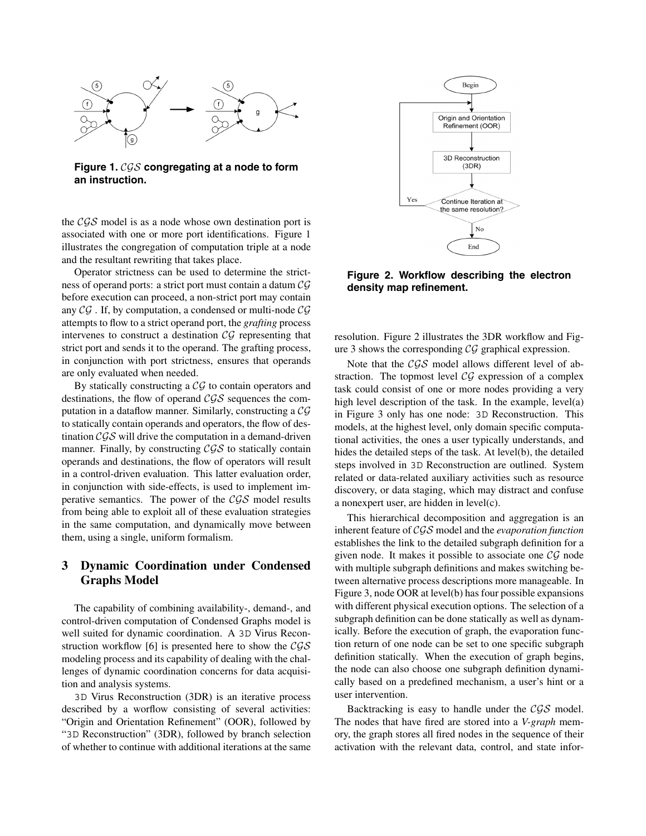

**Figure 1.** *CGS* **congregating at a node to form an instruction.**

the *CGS* model is as a node whose own destination port is associated with one or more port identifications. Figure 1 illustrates the congregation of computation triple at a node and the resultant rewriting that takes place.

Operator strictness can be used to determine the strictness of operand ports: a strict port must contain a datum *CG* before execution can proceed, a non-strict port may contain any *CG* . If, by computation, a condensed or multi-node *CG* attempts to flow to a strict operand port, the *grafting* process intervenes to construct a destination *CG* representing that strict port and sends it to the operand. The grafting process, in conjunction with port strictness, ensures that operands are only evaluated when needed.

By statically constructing a *CG* to contain operators and destinations, the flow of operand *CGS* sequences the computation in a dataflow manner. Similarly, constructing a *CG* to statically contain operands and operators, the flow of destination *CGS* will drive the computation in a demand-driven manner. Finally, by constructing *CGS* to statically contain operands and destinations, the flow of operators will result in a control-driven evaluation. This latter evaluation order, in conjunction with side-effects, is used to implement imperative semantics. The power of the *CGS* model results from being able to exploit all of these evaluation strategies in the same computation, and dynamically move between them, using a single, uniform formalism.

# **3 Dynamic Coordination under Condensed Graphs Model**

The capability of combining availability-, demand-, and control-driven computation of Condensed Graphs model is well suited for dynamic coordination. A 3D Virus Reconstruction workflow [6] is presented here to show the *CGS* modeling process and its capability of dealing with the challenges of dynamic coordination concerns for data acquisition and analysis systems.

3D Virus Reconstruction (3DR) is an iterative process described by a worflow consisting of several activities: "Origin and Orientation Refinement" (OOR), followed by "3D Reconstruction" (3DR), followed by branch selection of whether to continue with additional iterations at the same



**Figure 2. Workflow describing the electron density map refinement.**

resolution. Figure 2 illustrates the 3DR workflow and Figure 3 shows the corresponding *CG* graphical expression.

Note that the *CGS* model allows different level of abstraction. The topmost level *CG* expression of a complex task could consist of one or more nodes providing a very high level description of the task. In the example, level(a) in Figure 3 only has one node: 3D Reconstruction. This models, at the highest level, only domain specific computational activities, the ones a user typically understands, and hides the detailed steps of the task. At level(b), the detailed steps involved in 3D Reconstruction are outlined. System related or data-related auxiliary activities such as resource discovery, or data staging, which may distract and confuse a nonexpert user, are hidden in level(c).

This hierarchical decomposition and aggregation is an inherent feature of *CGS* model and the *evaporation function* establishes the link to the detailed subgraph definition for a given node. It makes it possible to associate one *CG* node with multiple subgraph definitions and makes switching between alternative process descriptions more manageable. In Figure 3, node OOR at level(b) has four possible expansions with different physical execution options. The selection of a subgraph definition can be done statically as well as dynamically. Before the execution of graph, the evaporation function return of one node can be set to one specific subgraph definition statically. When the execution of graph begins, the node can also choose one subgraph definition dynamically based on a predefined mechanism, a user's hint or a user intervention.

Backtracking is easy to handle under the *CGS* model. The nodes that have fired are stored into a *V-graph* memory, the graph stores all fired nodes in the sequence of their activation with the relevant data, control, and state infor-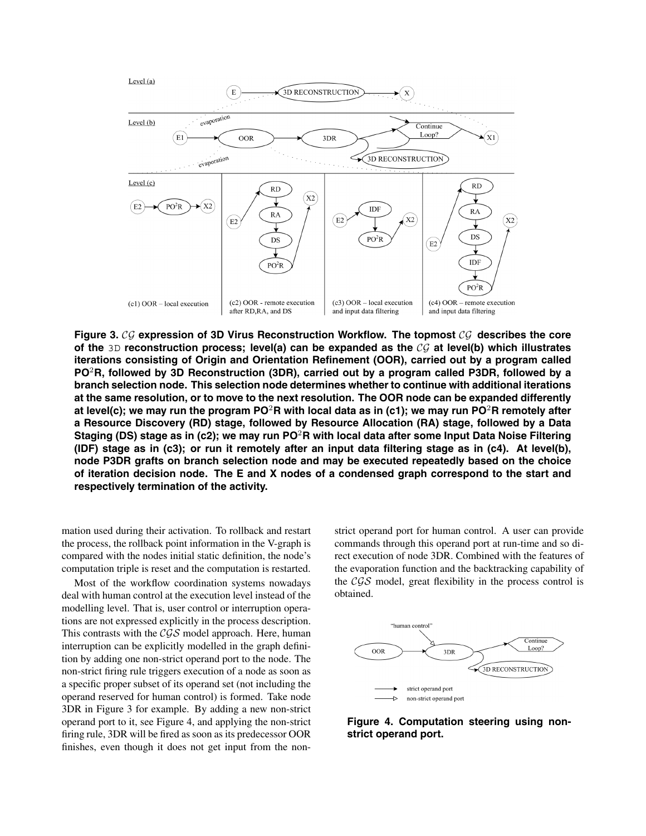

**Figure 3.** *CG* **expression of 3D Virus Reconstruction Workflow. The topmost** *CG* **describes the core of the** 3D **reconstruction process; level(a) can be expanded as the** *CG* **at level(b) which illustrates iterations consisting of Origin and Orientation Refinement (OOR), carried out by a program called PO**<sup>2</sup>**R, followed by 3D Reconstruction (3DR), carried out by a program called P3DR, followed by a branch selection node. This selection node determines whether to continue with additional iterations at the same resolution, or to move to the next resolution. The OOR node can be expanded differently at level(c); we may run the program PO**<sup>2</sup>**R with local data as in (c1); we may run PO**<sup>2</sup>**R remotely after a Resource Discovery (RD) stage, followed by Resource Allocation (RA) stage, followed by a Data Staging (DS) stage as in (c2); we may run PO**<sup>2</sup>**R with local data after some Input Data Noise Filtering (IDF) stage as in (c3); or run it remotely after an input data filtering stage as in (c4). At level(b), node P3DR grafts on branch selection node and may be executed repeatedly based on the choice of iteration decision node. The E and X nodes of a condensed graph correspond to the start and respectively termination of the activity.**

mation used during their activation. To rollback and restart the process, the rollback point information in the V-graph is compared with the nodes initial static definition, the node's computation triple is reset and the computation is restarted.

Most of the workflow coordination systems nowadays deal with human control at the execution level instead of the modelling level. That is, user control or interruption operations are not expressed explicitly in the process description. This contrasts with the *CGS* model approach. Here, human interruption can be explicitly modelled in the graph definition by adding one non-strict operand port to the node. The non-strict firing rule triggers execution of a node as soon as a specific proper subset of its operand set (not including the operand reserved for human control) is formed. Take node 3DR in Figure 3 for example. By adding a new non-strict operand port to it, see Figure 4, and applying the non-strict firing rule, 3DR will be fired as soon as its predecessor OOR finishes, even though it does not get input from the non-

strict operand port for human control. A user can provide commands through this operand port at run-time and so direct execution of node 3DR. Combined with the features of the evaporation function and the backtracking capability of the *CGS* model, great flexibility in the process control is obtained.



**Figure 4. Computation steering using nonstrict operand port.**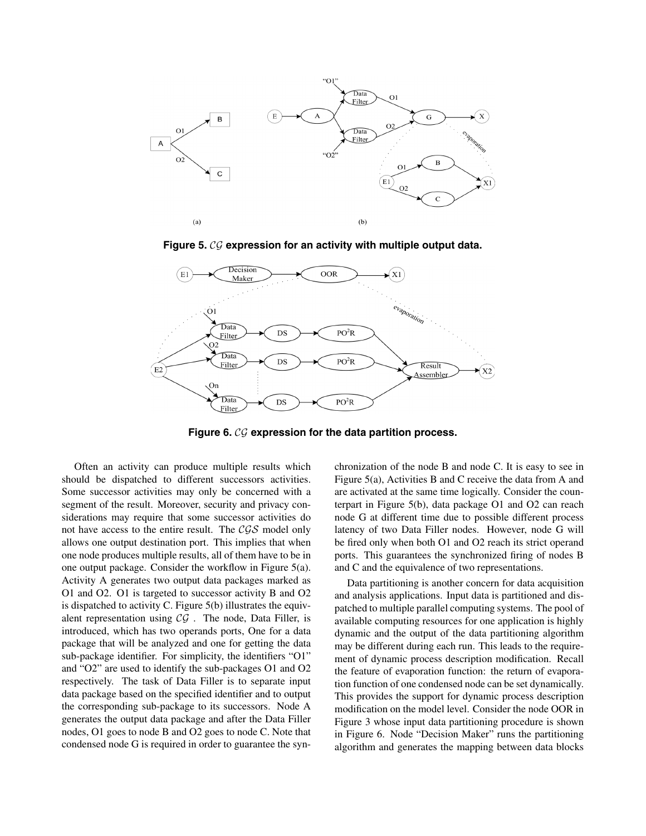

**Figure 5.** *CG* **expression for an activity with multiple output data.**



**Figure 6.** *CG* **expression for the data partition process.**

Often an activity can produce multiple results which should be dispatched to different successors activities. Some successor activities may only be concerned with a segment of the result. Moreover, security and privacy considerations may require that some successor activities do not have access to the entire result. The *CGS* model only allows one output destination port. This implies that when one node produces multiple results, all of them have to be in one output package. Consider the workflow in Figure 5(a). Activity A generates two output data packages marked as O1 and O2. O1 is targeted to successor activity B and O2 is dispatched to activity C. Figure 5(b) illustrates the equivalent representation using *CG* . The node, Data Filler, is introduced, which has two operands ports, One for a data package that will be analyzed and one for getting the data sub-package identifier. For simplicity, the identifiers "O1" and "O2" are used to identify the sub-packages O1 and O2 respectively. The task of Data Filler is to separate input data package based on the specified identifier and to output the corresponding sub-package to its successors. Node A generates the output data package and after the Data Filler nodes, O1 goes to node B and O2 goes to node C. Note that condensed node G is required in order to guarantee the syn-

chronization of the node B and node C. It is easy to see in Figure 5(a), Activities B and C receive the data from A and are activated at the same time logically. Consider the counterpart in Figure 5(b), data package O1 and O2 can reach node G at different time due to possible different process latency of two Data Filler nodes. However, node G will be fired only when both O1 and O2 reach its strict operand ports. This guarantees the synchronized firing of nodes B and C and the equivalence of two representations.

Data partitioning is another concern for data acquisition and analysis applications. Input data is partitioned and dispatched to multiple parallel computing systems. The pool of available computing resources for one application is highly dynamic and the output of the data partitioning algorithm may be different during each run. This leads to the requirement of dynamic process description modification. Recall the feature of evaporation function: the return of evaporation function of one condensed node can be set dynamically. This provides the support for dynamic process description modification on the model level. Consider the node OOR in Figure 3 whose input data partitioning procedure is shown in Figure 6. Node "Decision Maker" runs the partitioning algorithm and generates the mapping between data blocks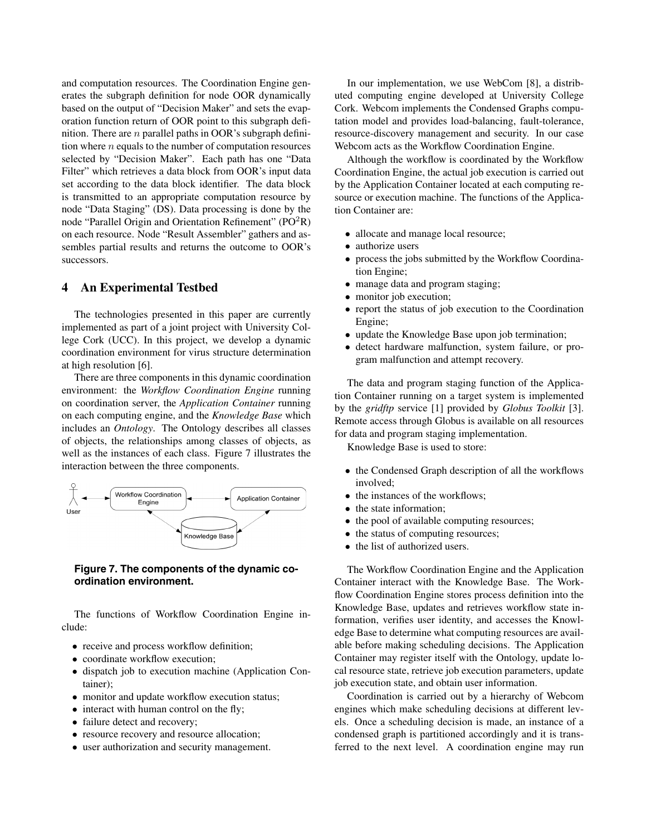and computation resources. The Coordination Engine generates the subgraph definition for node OOR dynamically based on the output of "Decision Maker" and sets the evaporation function return of OOR point to this subgraph definition. There are *n* parallel paths in OOR's subgraph definition where *n* equals to the number of computation resources selected by "Decision Maker". Each path has one "Data Filter" which retrieves a data block from OOR's input data set according to the data block identifier. The data block is transmitted to an appropriate computation resource by node "Data Staging" (DS). Data processing is done by the node "Parallel Origin and Orientation Refinement"  $(PO<sup>2</sup>R)$ on each resource. Node "Result Assembler" gathers and assembles partial results and returns the outcome to OOR's successors.

# **4 An Experimental Testbed**

The technologies presented in this paper are currently implemented as part of a joint project with University College Cork (UCC). In this project, we develop a dynamic coordination environment for virus structure determination at high resolution [6].

There are three components in this dynamic coordination environment: the *Workflow Coordination Engine* running on coordination server, the *Application Container* running on each computing engine, and the *Knowledge Base* which includes an *Ontology*. The Ontology describes all classes of objects, the relationships among classes of objects, as well as the instances of each class. Figure 7 illustrates the interaction between the three components.



# **Figure 7. The components of the dynamic coordination environment.**

The functions of Workflow Coordination Engine include:

- receive and process workflow definition;
- coordinate workflow execution;
- *•* dispatch job to execution machine (Application Container);
- monitor and update workflow execution status;
- interact with human control on the fly;
- failure detect and recovery;
- resource recovery and resource allocation;
- *•* user authorization and security management.

In our implementation, we use WebCom [8], a distributed computing engine developed at University College Cork. Webcom implements the Condensed Graphs computation model and provides load-balancing, fault-tolerance, resource-discovery management and security. In our case Webcom acts as the Workflow Coordination Engine.

Although the workflow is coordinated by the Workflow Coordination Engine, the actual job execution is carried out by the Application Container located at each computing resource or execution machine. The functions of the Application Container are:

- allocate and manage local resource;
- authorize users
- process the jobs submitted by the Workflow Coordination Engine;
- *•* manage data and program staging;
- monitor job execution;
- report the status of job execution to the Coordination Engine;
- update the Knowledge Base upon job termination;
- *•* detect hardware malfunction, system failure, or program malfunction and attempt recovery.

The data and program staging function of the Application Container running on a target system is implemented by the *gridftp* service [1] provided by *Globus Toolkit* [3]. Remote access through Globus is available on all resources for data and program staging implementation.

Knowledge Base is used to store:

- *•* the Condensed Graph description of all the workflows involved;
- the instances of the workflows:
- the state information;
- the pool of available computing resources;
- the status of computing resources;
- *•* the list of authorized users.

The Workflow Coordination Engine and the Application Container interact with the Knowledge Base. The Workflow Coordination Engine stores process definition into the Knowledge Base, updates and retrieves workflow state information, verifies user identity, and accesses the Knowledge Base to determine what computing resources are available before making scheduling decisions. The Application Container may register itself with the Ontology, update local resource state, retrieve job execution parameters, update job execution state, and obtain user information.

Coordination is carried out by a hierarchy of Webcom engines which make scheduling decisions at different levels. Once a scheduling decision is made, an instance of a condensed graph is partitioned accordingly and it is transferred to the next level. A coordination engine may run